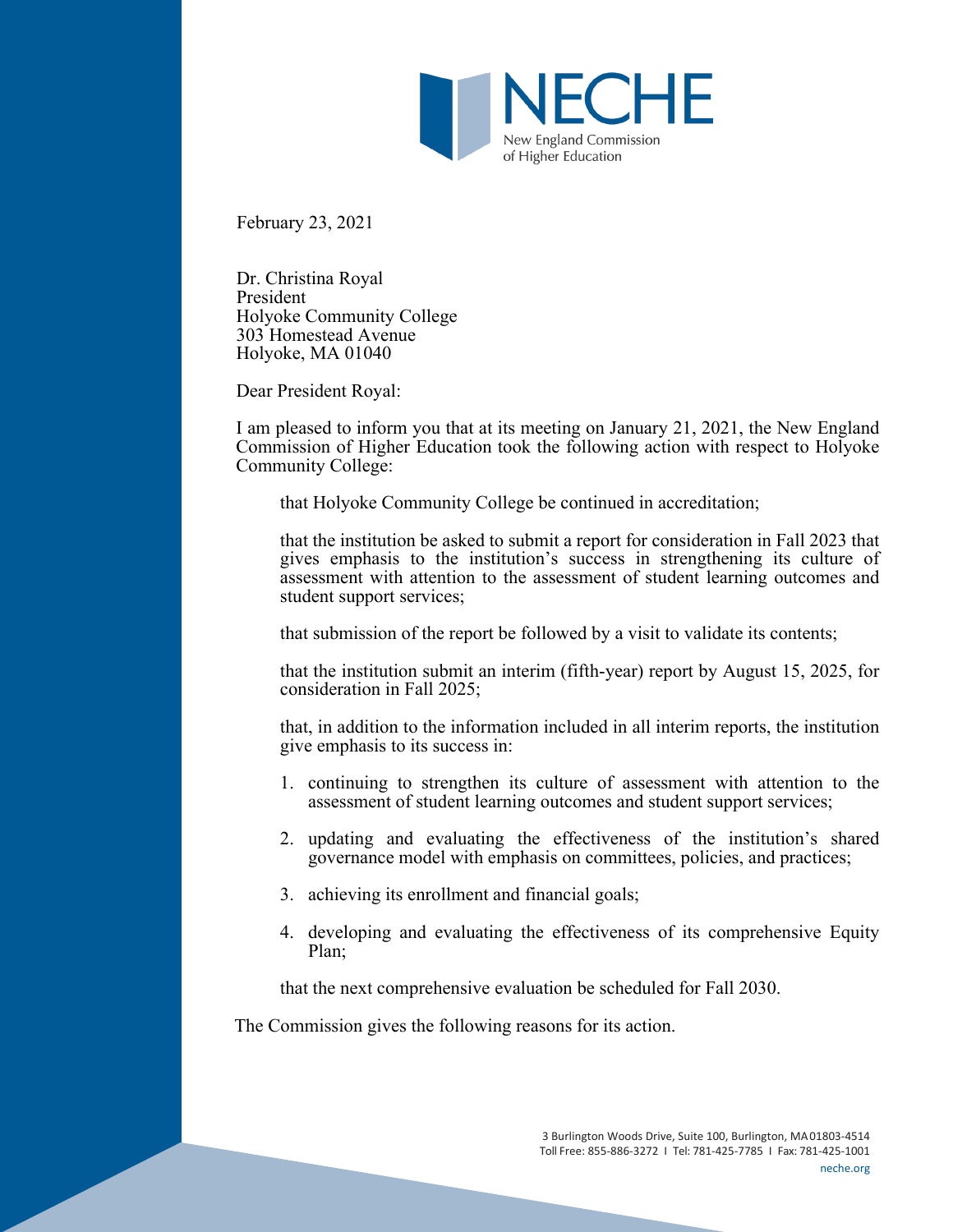

February 23, 2021

Dr. Christina Royal President Holyoke Community College 303 Homestead Avenue Holyoke, MA 01040

Dear President Royal:

I am pleased to inform you that at its meeting on January 21, 2021, the New England Commission of Higher Education took the following action with respect to Holyoke Community College:

that Holyoke Community College be continued in accreditation;

that the institution be asked to submit a report for consideration in Fall 2023 that gives emphasis to the institution's success in strengthening its culture of assessment with attention to the assessment of student learning outcomes and student support services;

that submission of the report be followed by a visit to validate its contents;

that the institution submit an interim (fifth-year) report by August 15, 2025, for consideration in Fall 2025;

that, in addition to the information included in all interim reports, the institution give emphasis to its success in:

- 1. continuing to strengthen its culture of assessment with attention to the assessment of student learning outcomes and student support services;
- 2. updating and evaluating the effectiveness of the institution's shared governance model with emphasis on committees, policies, and practices;
- 3. achieving its enrollment and financial goals;
- 4. developing and evaluating the effectiveness of its comprehensive Equity Plan;

that the next comprehensive evaluation be scheduled for Fall 2030.

The Commission gives the following reasons for its action.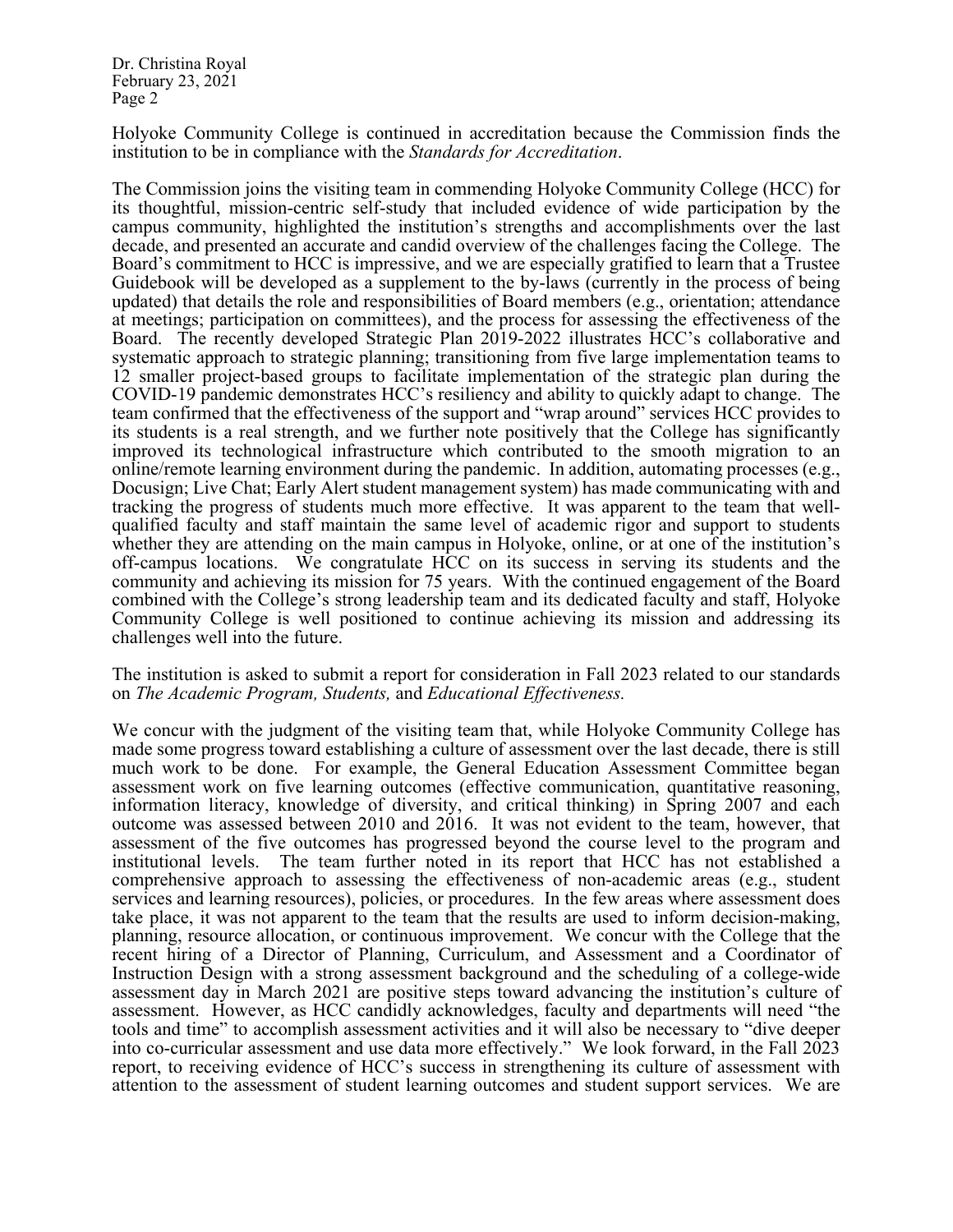Holyoke Community College is continued in accreditation because the Commission finds the institution to be in compliance with the *Standards for Accreditation*.

The Commission joins the visiting team in commending Holyoke Community College (HCC) for its thoughtful, mission-centric self-study that included evidence of wide participation by the campus community, highlighted the institution's strengths and accomplishments over the last decade, and presented an accurate and candid overview of the challenges facing the College. The Board's commitment to HCC is impressive, and we are especially gratified to learn that a Trustee Guidebook will be developed as a supplement to the by-laws (currently in the process of being updated) that details the role and responsibilities of Board members (e.g., orientation; attendance at meetings; participation on committees), and the process for assessing the effectiveness of the Board. The recently developed Strategic Plan 2019-2022 illustrates HCC's collaborative and systematic approach to strategic planning; transitioning from five large implementation teams to 12 smaller project-based groups to facilitate implementation of the strategic plan during the COVID-19 pandemic demonstrates HCC's resiliency and ability to quickly adapt to change. The team confirmed that the effectiveness of the support and "wrap around" services HCC provides to its students is a real strength, and we further note positively that the College has significantly improved its technological infrastructure which contributed to the smooth migration to an online/remote learning environment during the pandemic. In addition, automating processes (e.g., Docusign; Live Chat; Early Alert student management system) has made communicating with and tracking the progress of students much more effective. It was apparent to the team that wellqualified faculty and staff maintain the same level of academic rigor and support to students whether they are attending on the main campus in Holyoke, online, or at one of the institution's off-campus locations. We congratulate HCC on its success in serving its students and the community and achieving its mission for 75 years. With the continued engagement of the Board combined with the College's strong leadership team and its dedicated faculty and staff, Holyoke Community College is well positioned to continue achieving its mission and addressing its challenges well into the future.

The institution is asked to submit a report for consideration in Fall 2023 related to our standards on *The Academic Program, Students,* and *Educational Effectiveness.*

We concur with the judgment of the visiting team that, while Holyoke Community College has made some progress toward establishing a culture of assessment over the last decade, there is still much work to be done. For example, the General Education Assessment Committee began assessment work on five learning outcomes (effective communication, quantitative reasoning, information literacy, knowledge of diversity, and critical thinking) in Spring 2007 and each outcome was assessed between 2010 and 2016. It was not evident to the team, however, that assessment of the five outcomes has progressed beyond the course level to the program and institutional levels. The team further noted in its report that HCC has not established a The team further noted in its report that HCC has not established a comprehensive approach to assessing the effectiveness of non-academic areas (e.g., student services and learning resources), policies, or procedures. In the few areas where assessment does take place, it was not apparent to the team that the results are used to inform decision-making, planning, resource allocation, or continuous improvement. We concur with the College that the recent hiring of a Director of Planning, Curriculum, and Assessment and a Coordinator of Instruction Design with a strong assessment background and the scheduling of a college-wide assessment day in March 2021 are positive steps toward advancing the institution's culture of assessment. However, as HCC candidly acknowledges, faculty and departments will need "the tools and time" to accomplish assessment activities and it will also be necessary to "dive deeper into co-curricular assessment and use data more effectively." We look forward, in the Fall 2023 report, to receiving evidence of HCC's success in strengthening its culture of assessment with attention to the assessment of student learning outcomes and student support services. We are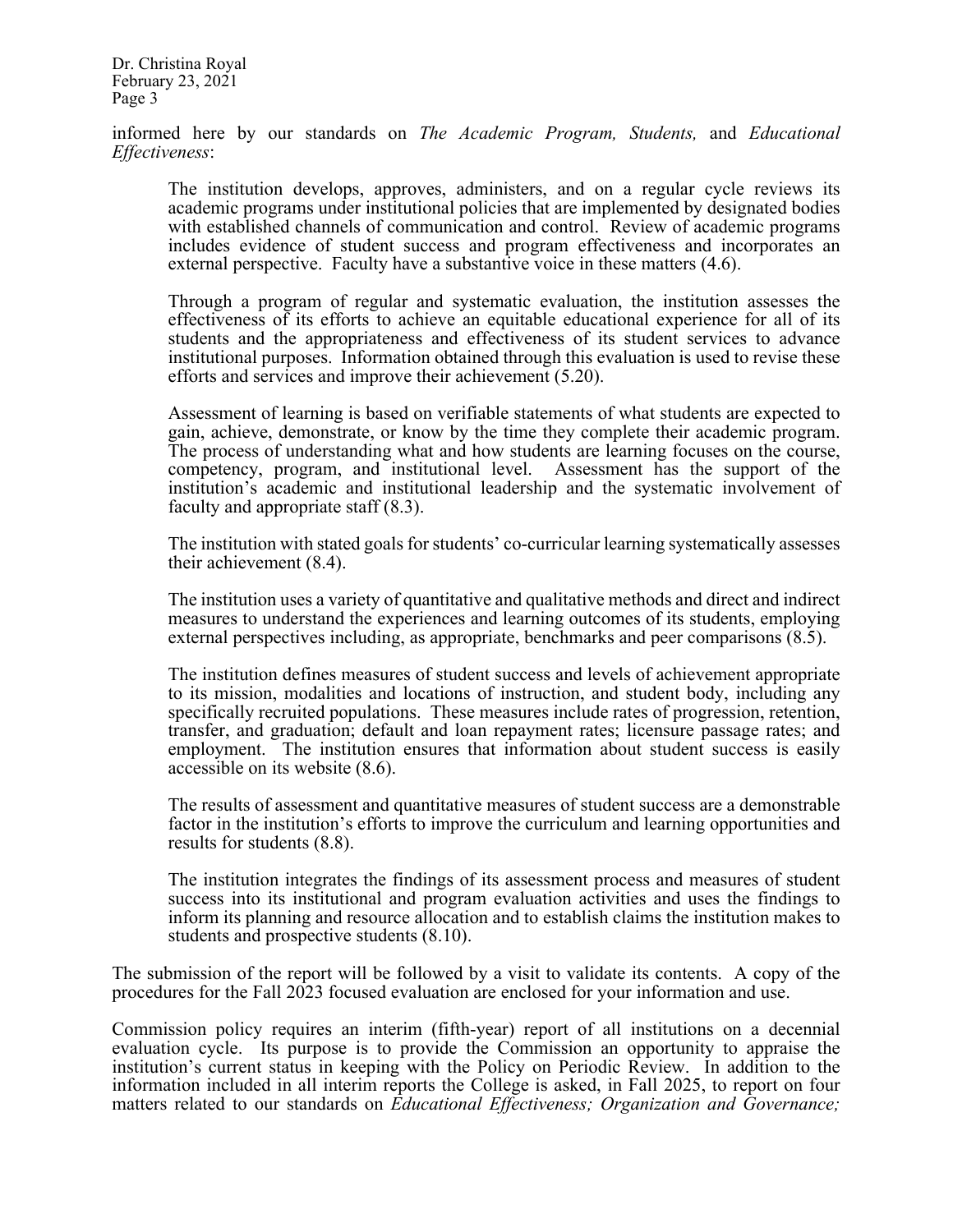informed here by our standards on *The Academic Program, Students,* and *Educational Effectiveness*:

The institution develops, approves, administers, and on a regular cycle reviews its academic programs under institutional policies that are implemented by designated bodies with established channels of communication and control. Review of academic programs includes evidence of student success and program effectiveness and incorporates an external perspective. Faculty have a substantive voice in these matters (4.6).

Through a program of regular and systematic evaluation, the institution assesses the effectiveness of its efforts to achieve an equitable educational experience for all of its students and the appropriateness and effectiveness of its student services to advance institutional purposes. Information obtained through this evaluation is used to revise these efforts and services and improve their achievement (5.20).

Assessment of learning is based on verifiable statements of what students are expected to gain, achieve, demonstrate, or know by the time they complete their academic program. The process of understanding what and how students are learning focuses on the course, competency, program, and institutional level. Assessment has the support of the institution's academic and institutional leadership and the systematic involvement of faculty and appropriate staff (8.3).

The institution with stated goals for students' co-curricular learning systematically assesses their achievement (8.4).

The institution uses a variety of quantitative and qualitative methods and direct and indirect measures to understand the experiences and learning outcomes of its students, employing external perspectives including, as appropriate, benchmarks and peer comparisons (8.5).

The institution defines measures of student success and levels of achievement appropriate to its mission, modalities and locations of instruction, and student body, including any specifically recruited populations. These measures include rates of progression, retention, transfer, and graduation; default and loan repayment rates; licensure passage rates; and employment. The institution ensures that information about student success is easily accessible on its website (8.6).

The results of assessment and quantitative measures of student success are a demonstrable factor in the institution's efforts to improve the curriculum and learning opportunities and results for students (8.8).

The institution integrates the findings of its assessment process and measures of student success into its institutional and program evaluation activities and uses the findings to inform its planning and resource allocation and to establish claims the institution makes to students and prospective students (8.10).

The submission of the report will be followed by a visit to validate its contents. A copy of the procedures for the Fall 2023 focused evaluation are enclosed for your information and use.

Commission policy requires an interim (fifth-year) report of all institutions on a decennial evaluation cycle. Its purpose is to provide the Commission an opportunity to appraise the institution's current status in keeping with the Policy on Periodic Review. In addition to the information included in all interim reports the College is asked, in Fall 2025, to report on four matters related to our standards on *Educational Effectiveness; Organization and Governance;*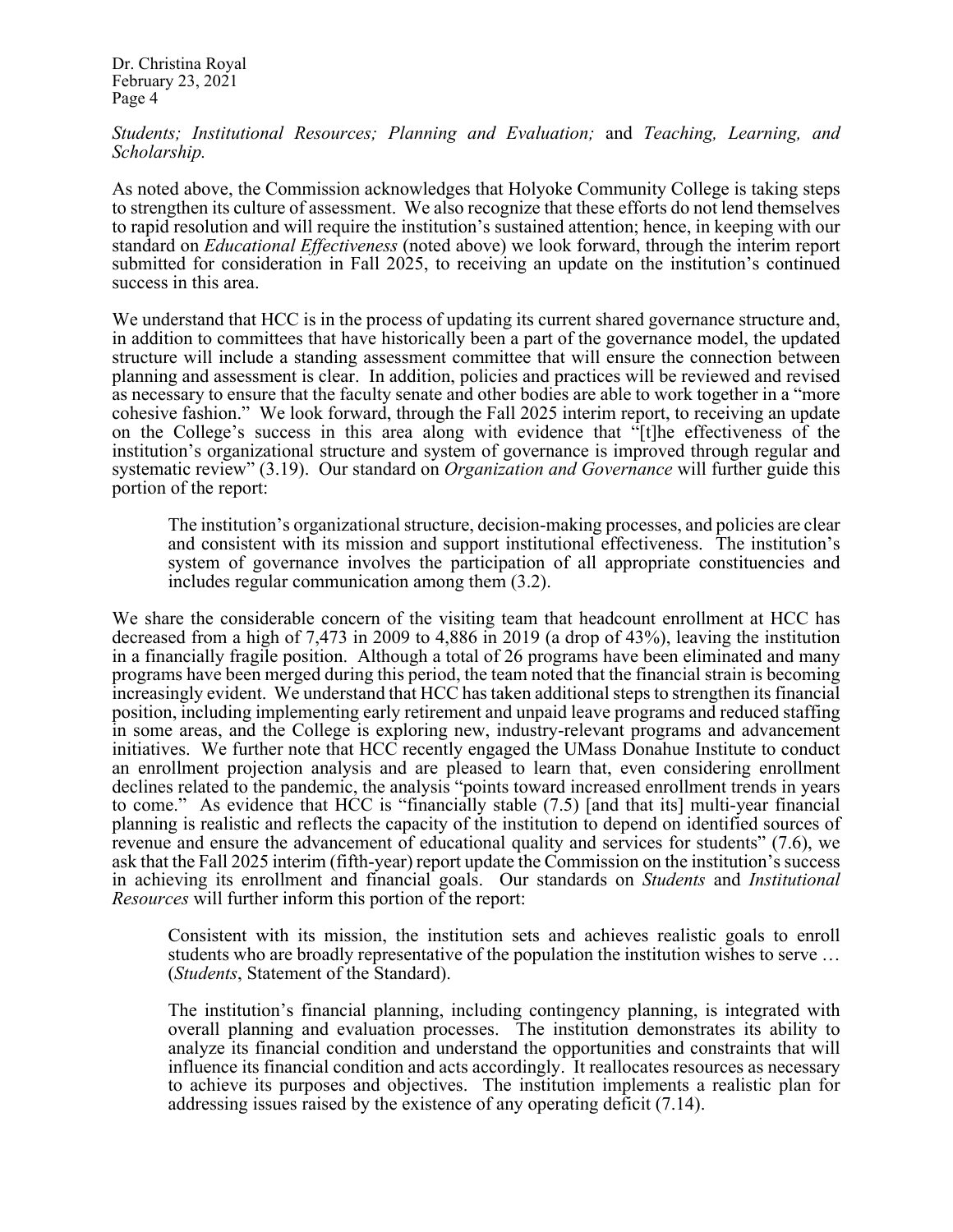*Students; Institutional Resources; Planning and Evaluation;* and *Teaching, Learning, and Scholarship.* 

As noted above, the Commission acknowledges that Holyoke Community College is taking steps to strengthen its culture of assessment. We also recognize that these efforts do not lend themselves to rapid resolution and will require the institution's sustained attention; hence, in keeping with our standard on *Educational Effectiveness* (noted above) we look forward, through the interim report submitted for consideration in Fall 2025, to receiving an update on the institution's continued success in this area.

We understand that HCC is in the process of updating its current shared governance structure and. in addition to committees that have historically been a part of the governance model, the updated structure will include a standing assessment committee that will ensure the connection between planning and assessment is clear. In addition, policies and practices will be reviewed and revised as necessary to ensure that the faculty senate and other bodies are able to work together in a "more cohesive fashion." We look forward, through the Fall 2025 interim report, to receiving an update on the College's success in this area along with evidence that "[t]he effectiveness of the institution's organizational structure and system of governance is improved through regular and systematic review" (3.19). Our standard on *Organization and Governance* will further guide this portion of the report:

The institution's organizational structure, decision-making processes, and policies are clear and consistent with its mission and support institutional effectiveness. The institution's system of governance involves the participation of all appropriate constituencies and includes regular communication among them (3.2).

We share the considerable concern of the visiting team that headcount enrollment at HCC has decreased from a high of 7,473 in 2009 to 4,886 in 2019 (a drop of 43%), leaving the institution in a financially fragile position. Although a total of 26 programs have been eliminated and many programs have been merged during this period, the team noted that the financial strain is becoming increasingly evident. We understand that HCC has taken additional steps to strengthen its financial position, including implementing early retirement and unpaid leave programs and reduced staffing in some areas, and the College is exploring new, industry-relevant programs and advancement initiatives. We further note that HCC recently engaged the UMass Donahue Institute to conduct an enrollment projection analysis and are pleased to learn that, even considering enrollment declines related to the pandemic, the analysis "points toward increased enrollment trends in years to come." As evidence that HCC is "financially stable (7.5) [and that its] multi-year financial planning is realistic and reflects the capacity of the institution to depend on identified sources of revenue and ensure the advancement of educational quality and services for students" (7.6), we ask that the Fall 2025 interim (fifth-year) report update the Commission on the institution's success in achieving its enrollment and financial goals. Our standards on *Students* and *Institutional Resources* will further inform this portion of the report:

Consistent with its mission, the institution sets and achieves realistic goals to enroll students who are broadly representative of the population the institution wishes to serve … (*Students*, Statement of the Standard).

The institution's financial planning, including contingency planning, is integrated with overall planning and evaluation processes. The institution demonstrates its ability to analyze its financial condition and understand the opportunities and constraints that will influence its financial condition and acts accordingly. It reallocates resources as necessary to achieve its purposes and objectives. The institution implements a realistic plan for addressing issues raised by the existence of any operating deficit (7.14).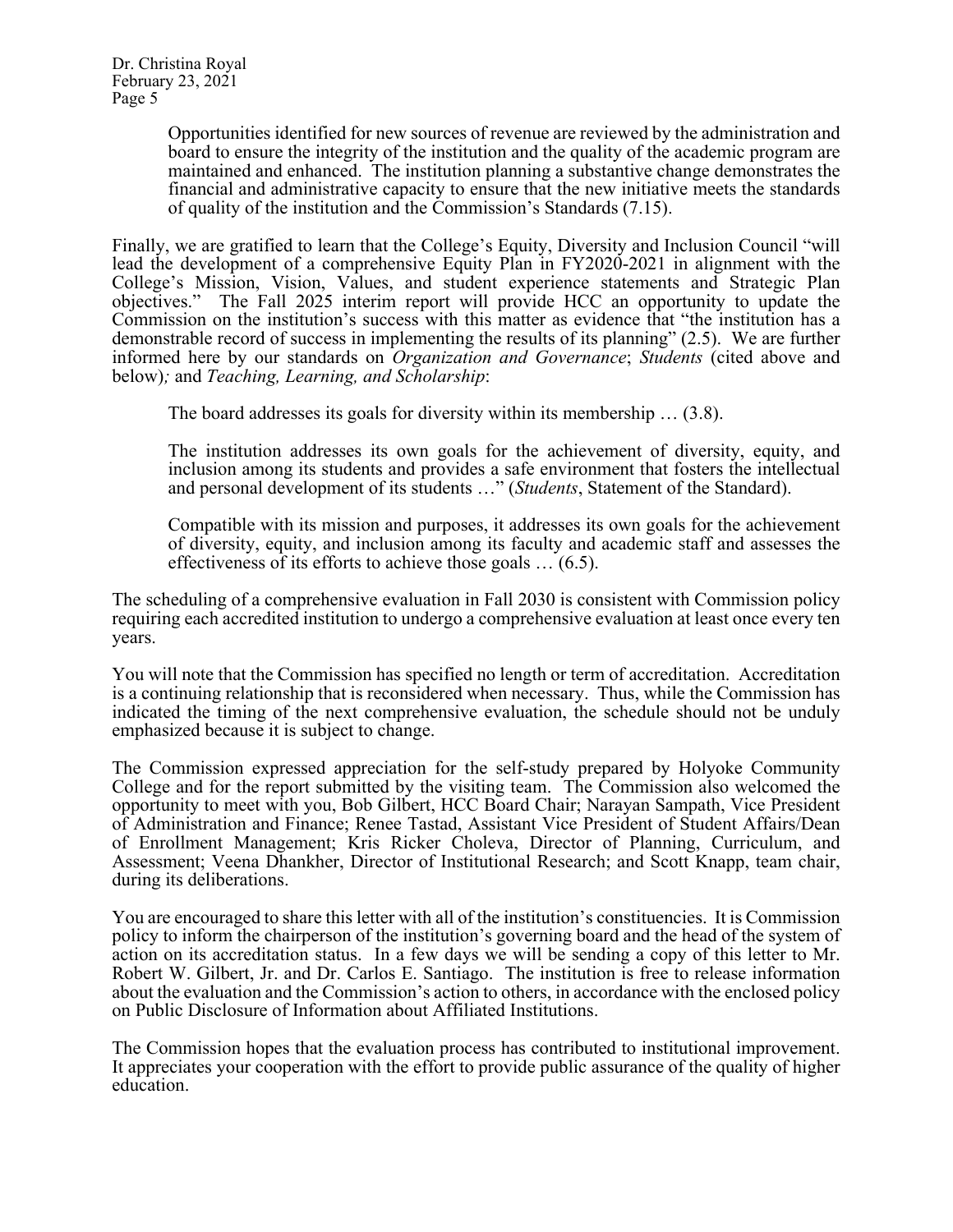Opportunities identified for new sources of revenue are reviewed by the administration and board to ensure the integrity of the institution and the quality of the academic program are maintained and enhanced. The institution planning a substantive change demonstrates the financial and administrative capacity to ensure that the new initiative meets the standards of quality of the institution and the Commission's Standards (7.15).

Finally, we are gratified to learn that the College's Equity, Diversity and Inclusion Council "will lead the development of a comprehensive Equity Plan in FY2020-2021 in alignment with the College's Mission, Vision, Values, and student experience statements and Strategic Plan objectives." The Fall 2025 interim report will provide HCC an opportunity to update the Commission on the institution's success with this matter as evidence that "the institution has a demonstrable record of success in implementing the results of its planning" (2.5). We are further informed here by our standards on *Organization and Governance*; *Students* (cited above and below)*;* and *Teaching, Learning, and Scholarship*:

The board addresses its goals for diversity within its membership … (3.8).

The institution addresses its own goals for the achievement of diversity, equity, and inclusion among its students and provides a safe environment that fosters the intellectual and personal development of its students …" (*Students*, Statement of the Standard).

Compatible with its mission and purposes, it addresses its own goals for the achievement of diversity, equity, and inclusion among its faculty and academic staff and assesses the effectiveness of its efforts to achieve those goals … (6.5).

The scheduling of a comprehensive evaluation in Fall 2030 is consistent with Commission policy requiring each accredited institution to undergo a comprehensive evaluation at least once every ten years.

You will note that the Commission has specified no length or term of accreditation. Accreditation is a continuing relationship that is reconsidered when necessary. Thus, while the Commission has indicated the timing of the next comprehensive evaluation, the schedule should not be unduly emphasized because it is subject to change.

The Commission expressed appreciation for the self-study prepared by Holyoke Community College and for the report submitted by the visiting team. The Commission also welcomed the opportunity to meet with you, Bob Gilbert, HCC Board Chair; Narayan Sampath, Vice President of Administration and Finance; Renee Tastad, Assistant Vice President of Student Affairs/Dean of Enrollment Management; Kris Ricker Choleva, Director of Planning, Curriculum, and Assessment; Veena Dhankher, Director of Institutional Research; and Scott Knapp, team chair, during its deliberations.

You are encouraged to share this letter with all of the institution's constituencies. It is Commission policy to inform the chairperson of the institution's governing board and the head of the system of action on its accreditation status. In a few days we will be sending a copy of this letter to Mr. Robert W. Gilbert, Jr. and Dr. Carlos E. Santiago. The institution is free to release information about the evaluation and the Commission's action to others, in accordance with the enclosed policy on Public Disclosure of Information about Affiliated Institutions.

The Commission hopes that the evaluation process has contributed to institutional improvement. It appreciates your cooperation with the effort to provide public assurance of the quality of higher education.